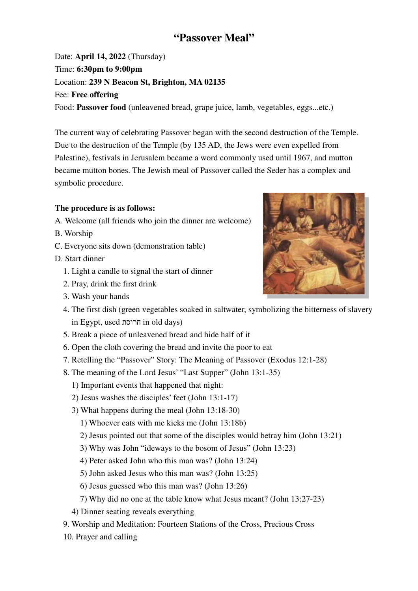# **"Passover Meal"**

Date: **April 14, 2022** (Thursday) Time: **6:30pm to 9:00pm** Location: **239 N Beacon St, Brighton, MA 02135** Fee: **Free offering** Food: **Passover food** (unleavened bread, grape juice, lamb, vegetables, eggs...etc.)

The current way of celebrating Passover began with the second destruction of the Temple. Due to the destruction of the Temple (by 135 AD, the Jews were even expelled from Palestine), festivals in Jerusalem became a word commonly used until 1967, and mutton became mutton bones. The Jewish meal of Passover called the Seder has a complex and symbolic procedure.

# **The procedure is as follows:**

- A. Welcome (all friends who join the dinner are welcome)
- B. Worship
- C. Everyone sits down (demonstration table)
- D. Start dinner
	- 1. Light a candle to signal the start of dinner
	- 2. Pray, drink the first drink
	- 3. Wash your hands
	- 4. The first dish (green vegetables soaked in saltwater, symbolizing the bitterness of slavery in Egypt, used חרוסת in old days)
	- 5. Break a piece of unleavened bread and hide half of it
	- 6. Open the cloth covering the bread and invite the poor to eat
	- 7. Retelling the "Passover" Story: The Meaning of Passover (Exodus 12:1-28)
	- 8. The meaning of the Lord Jesus' "Last Supper" (John 13:1-35)
		- 1) Important events that happened that night:
		- 2) Jesus washes the disciples' feet (John 13:1-17)
		- 3) What happens during the meal (John 13:18-30)
			- 1) Whoever eats with me kicks me (John 13:18b)
			- 2) Jesus pointed out that some of the disciples would betray him (John 13:21)
			- 3) Why was John "ideways to the bosom of Jesus" (John 13:23)
			- 4) Peter asked John who this man was? (John 13:24)
			- 5) John asked Jesus who this man was? (John 13:25)
			- 6) Jesus guessed who this man was? (John 13:26)
			- 7) Why did no one at the table know what Jesus meant? (John 13:27-23)
		- 4) Dinner seating reveals everything
	- 9. Worship and Meditation: Fourteen Stations of the Cross, Precious Cross
	- 10. Prayer and calling